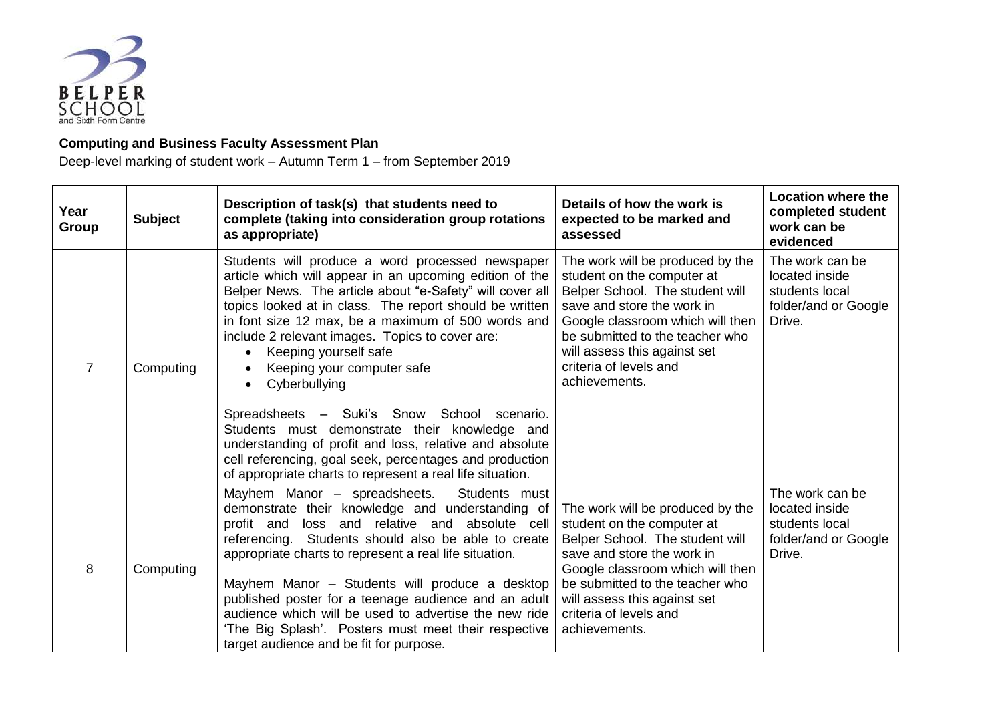

## **Computing and Business Faculty Assessment Plan**

Deep-level marking of student work – Autumn Term 1 – from September 2019

| Year<br>Group  | <b>Subject</b> | Description of task(s) that students need to<br>complete (taking into consideration group rotations<br>as appropriate)                                                                                                                                                                                                                                                                                                                                                                                                                                                                                                                                                                                                           | Details of how the work is<br>expected to be marked and<br>assessed                                                                                                                                                                                                               | <b>Location where the</b><br>completed student<br>work can be<br>evidenced            |
|----------------|----------------|----------------------------------------------------------------------------------------------------------------------------------------------------------------------------------------------------------------------------------------------------------------------------------------------------------------------------------------------------------------------------------------------------------------------------------------------------------------------------------------------------------------------------------------------------------------------------------------------------------------------------------------------------------------------------------------------------------------------------------|-----------------------------------------------------------------------------------------------------------------------------------------------------------------------------------------------------------------------------------------------------------------------------------|---------------------------------------------------------------------------------------|
| $\overline{7}$ | Computing      | Students will produce a word processed newspaper<br>article which will appear in an upcoming edition of the<br>Belper News. The article about "e-Safety" will cover all<br>topics looked at in class. The report should be written<br>in font size 12 max, be a maximum of 500 words and<br>include 2 relevant images. Topics to cover are:<br>Keeping yourself safe<br>$\bullet$<br>Keeping your computer safe<br>Cyberbullying<br>$\bullet$<br>Spreadsheets - Suki's Snow School scenario.<br>Students must demonstrate their knowledge and<br>understanding of profit and loss, relative and absolute<br>cell referencing, goal seek, percentages and production<br>of appropriate charts to represent a real life situation. | The work will be produced by the<br>student on the computer at<br>Belper School. The student will<br>save and store the work in<br>Google classroom which will then<br>be submitted to the teacher who<br>will assess this against set<br>criteria of levels and<br>achievements. | The work can be<br>located inside<br>students local<br>folder/and or Google<br>Drive. |
| 8              | Computing      | Mayhem Manor - spreadsheets.<br>Students must<br>demonstrate their knowledge and understanding of<br>profit and loss and relative and absolute cell<br>referencing. Students should also be able to create<br>appropriate charts to represent a real life situation.<br>Mayhem Manor - Students will produce a desktop<br>published poster for a teenage audience and an adult<br>audience which will be used to advertise the new ride<br>'The Big Splash'. Posters must meet their respective<br>target audience and be fit for purpose.                                                                                                                                                                                       | The work will be produced by the<br>student on the computer at<br>Belper School. The student will<br>save and store the work in<br>Google classroom which will then<br>be submitted to the teacher who<br>will assess this against set<br>criteria of levels and<br>achievements. | The work can be<br>located inside<br>students local<br>folder/and or Google<br>Drive. |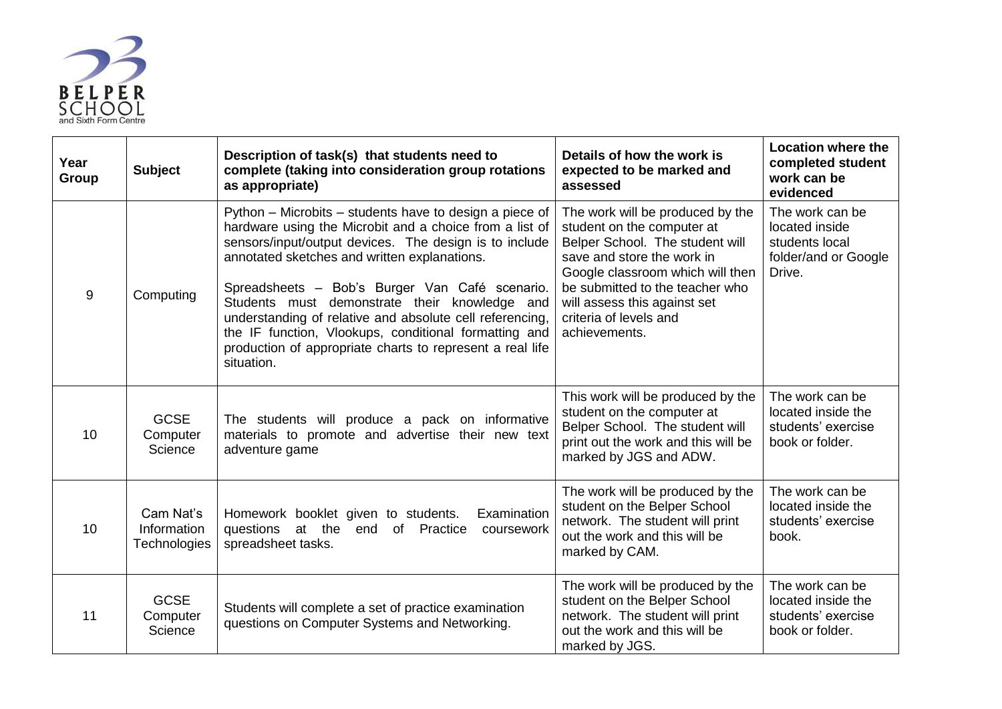

| Year<br>Group | <b>Subject</b>                           | Description of task(s) that students need to<br>complete (taking into consideration group rotations<br>as appropriate)                                                                                                                                                                                                                                                                                                                                                                                                          | Details of how the work is<br>expected to be marked and<br>assessed                                                                                                                                                                                                               | <b>Location where the</b><br>completed student<br>work can be<br>evidenced            |
|---------------|------------------------------------------|---------------------------------------------------------------------------------------------------------------------------------------------------------------------------------------------------------------------------------------------------------------------------------------------------------------------------------------------------------------------------------------------------------------------------------------------------------------------------------------------------------------------------------|-----------------------------------------------------------------------------------------------------------------------------------------------------------------------------------------------------------------------------------------------------------------------------------|---------------------------------------------------------------------------------------|
| 9             | Computing                                | Python - Microbits - students have to design a piece of<br>hardware using the Microbit and a choice from a list of<br>sensors/input/output devices. The design is to include<br>annotated sketches and written explanations.<br>Spreadsheets - Bob's Burger Van Café scenario.<br>Students must demonstrate their knowledge and<br>understanding of relative and absolute cell referencing,<br>the IF function, Vlookups, conditional formatting and<br>production of appropriate charts to represent a real life<br>situation. | The work will be produced by the<br>student on the computer at<br>Belper School. The student will<br>save and store the work in<br>Google classroom which will then<br>be submitted to the teacher who<br>will assess this against set<br>criteria of levels and<br>achievements. | The work can be<br>located inside<br>students local<br>folder/and or Google<br>Drive. |
| 10            | <b>GCSE</b><br>Computer<br>Science       | The students will produce a pack on informative<br>materials to promote and advertise their new text<br>adventure game                                                                                                                                                                                                                                                                                                                                                                                                          | This work will be produced by the<br>student on the computer at<br>Belper School. The student will<br>print out the work and this will be<br>marked by JGS and ADW.                                                                                                               | The work can be<br>located inside the<br>students' exercise<br>book or folder.        |
| 10            | Cam Nat's<br>Information<br>Technologies | Examination<br>Homework booklet given to students.<br>questions at the<br>of Practice<br>end<br>coursework<br>spreadsheet tasks.                                                                                                                                                                                                                                                                                                                                                                                                | The work will be produced by the<br>student on the Belper School<br>network. The student will print<br>out the work and this will be<br>marked by CAM.                                                                                                                            | The work can be<br>located inside the<br>students' exercise<br>book.                  |
| 11            | <b>GCSE</b><br>Computer<br>Science       | Students will complete a set of practice examination<br>questions on Computer Systems and Networking.                                                                                                                                                                                                                                                                                                                                                                                                                           | The work will be produced by the<br>student on the Belper School<br>network. The student will print<br>out the work and this will be<br>marked by JGS.                                                                                                                            | The work can be<br>located inside the<br>students' exercise<br>book or folder.        |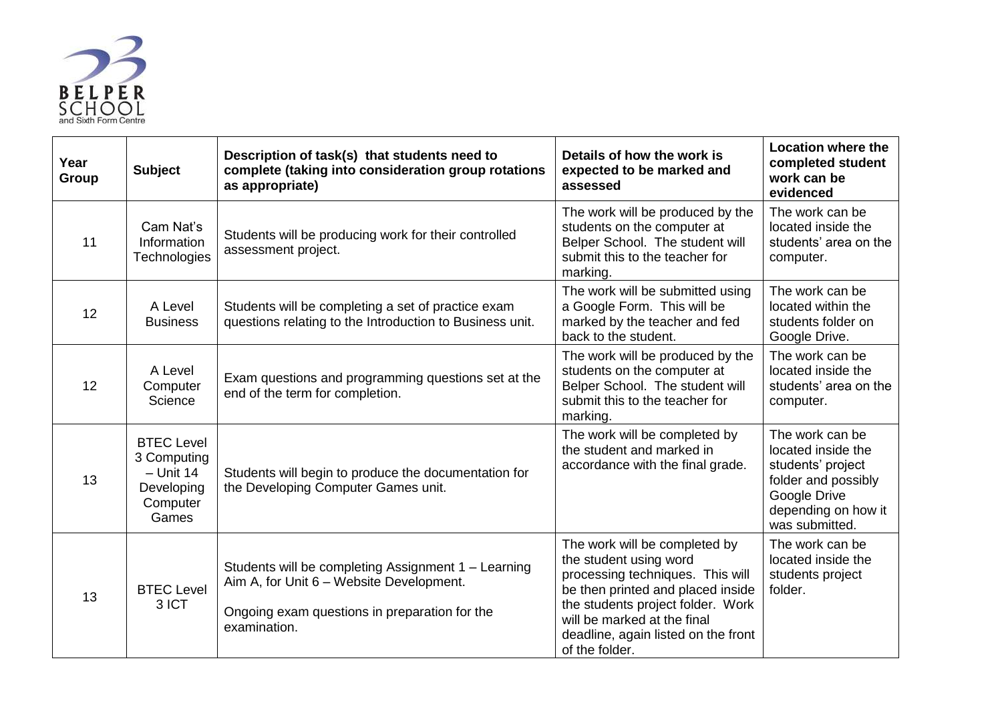

| Year<br>Group | <b>Subject</b>                                                                     | Description of task(s) that students need to<br>complete (taking into consideration group rotations<br>as appropriate)                                           | Details of how the work is<br>expected to be marked and<br>assessed                                                                                                                                                                                           | <b>Location where the</b><br>completed student<br>work can be<br>evidenced                                                                 |
|---------------|------------------------------------------------------------------------------------|------------------------------------------------------------------------------------------------------------------------------------------------------------------|---------------------------------------------------------------------------------------------------------------------------------------------------------------------------------------------------------------------------------------------------------------|--------------------------------------------------------------------------------------------------------------------------------------------|
| 11            | Cam Nat's<br>Information<br><b>Technologies</b>                                    | Students will be producing work for their controlled<br>assessment project.                                                                                      | The work will be produced by the<br>students on the computer at<br>Belper School. The student will<br>submit this to the teacher for<br>marking.                                                                                                              | The work can be<br>located inside the<br>students' area on the<br>computer.                                                                |
| 12            | A Level<br><b>Business</b>                                                         | Students will be completing a set of practice exam<br>questions relating to the Introduction to Business unit.                                                   | The work will be submitted using<br>a Google Form. This will be<br>marked by the teacher and fed<br>back to the student.                                                                                                                                      | The work can be<br>located within the<br>students folder on<br>Google Drive.                                                               |
| 12            | A Level<br>Computer<br>Science                                                     | Exam questions and programming questions set at the<br>end of the term for completion.                                                                           | The work will be produced by the<br>students on the computer at<br>Belper School. The student will<br>submit this to the teacher for<br>marking.                                                                                                              | The work can be<br>located inside the<br>students' area on the<br>computer.                                                                |
| 13            | <b>BTEC Level</b><br>3 Computing<br>$-$ Unit 14<br>Developing<br>Computer<br>Games | Students will begin to produce the documentation for<br>the Developing Computer Games unit.                                                                      | The work will be completed by<br>the student and marked in<br>accordance with the final grade.                                                                                                                                                                | The work can be<br>located inside the<br>students' project<br>folder and possibly<br>Google Drive<br>depending on how it<br>was submitted. |
| 13            | <b>BTEC Level</b><br>3 ICT                                                         | Students will be completing Assignment 1 - Learning<br>Aim A, for Unit 6 - Website Development.<br>Ongoing exam questions in preparation for the<br>examination. | The work will be completed by<br>the student using word<br>processing techniques. This will<br>be then printed and placed inside<br>the students project folder. Work<br>will be marked at the final<br>deadline, again listed on the front<br>of the folder. | The work can be<br>located inside the<br>students project<br>folder.                                                                       |